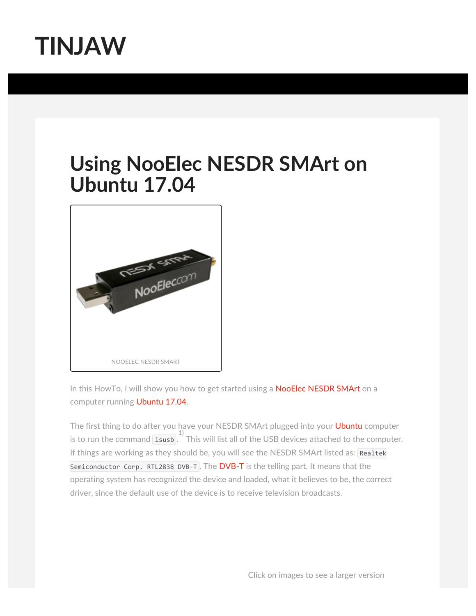

## **Using NooElec NESDR SMArt on Ubuntu 17.04**



In this HowTo, I will show you how to get started using a [NooElec NESDR SMArt](http://www.nooelec.com/store/sdr/sdr-receivers/nesdr/nesdr-smart-sdr.html) on a computer running [Ubuntu 17.04](http://releases.ubuntu.com/17.04/).

The first thing to do after you have your NESDR SMArt plugged into your [Ubuntu](https://www.ubuntu.com/) computer is to run the command  $\overline{1s_{\text{us}}b}$ . This will list all of the USB devices attached to the computer. If things are working as they should be, you will see the NESDR SMArt listed as: Realtek Semiconductor Corp. RTL2838 DVB-T. The  $DVB-T$  is the telling part. It means that the operating system has recognized the device and loaded, what it believes to be, the correct driver, since the default use of the device is to receive television broadcasts.

Click on images to see a larger version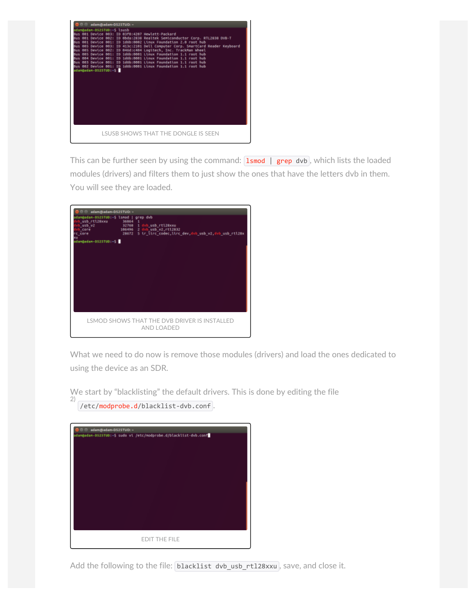

This can be further seen by using the command:  $\frac{1}{1}$  smod | [grep](http://manpages.ubuntu.com/manpages/zesty/en/man1/grep.1.html) dvb, which lists the loaded modules (drivers) and filters them to just show the ones that have the letters dvb in them. You will see they are loaded.

| adam@adam-D525TUD: ~<br>dan@adan-0525TUD:-S lsnod   grep dvb<br>usb rtl2Bxxu 36864<br>usb vz<br>core<br>core<br>$domainedan-0525TUD: -5$ | $\mathbf{1}$<br>32768 1 dvb_usb_rtl28xxw<br>106496 2 dvb usb_v2,rtl2832<br>20672 S in line codec, line dev, dvb usb v2, dvb usb rtl28x |
|------------------------------------------------------------------------------------------------------------------------------------------|----------------------------------------------------------------------------------------------------------------------------------------|
|                                                                                                                                          | LSMOD SHOWS THAT THE DVB DRIVER IS INSTALLED<br>AND LOADED                                                                             |

What we need to do now is remove those modules (drivers) and load the ones dedicated to using the device as an SDR.

We start by "blacklisting" the default drivers. This is done by editing the file 2)

/etc[/modprobe.d](http://manpages.ubuntu.com/manpages/zesty/en/man5/modprobe.d.5.html)/blacklist-dvb.conf .

| adam@adam-DS2STUD: ~                                             |                      |  |  |  |
|------------------------------------------------------------------|----------------------|--|--|--|
| adam@adam-D525TUD:-\$ sudo vi /etc/modprobe.d/blacklist-dvb.conf |                      |  |  |  |
|                                                                  |                      |  |  |  |
|                                                                  |                      |  |  |  |
|                                                                  |                      |  |  |  |
|                                                                  |                      |  |  |  |
|                                                                  |                      |  |  |  |
|                                                                  |                      |  |  |  |
|                                                                  |                      |  |  |  |
|                                                                  |                      |  |  |  |
|                                                                  |                      |  |  |  |
|                                                                  |                      |  |  |  |
|                                                                  | <b>EDIT THE FILE</b> |  |  |  |
|                                                                  |                      |  |  |  |

Add the following to the file: blacklist dvb\_usb\_rtl28xxu, save, and close it.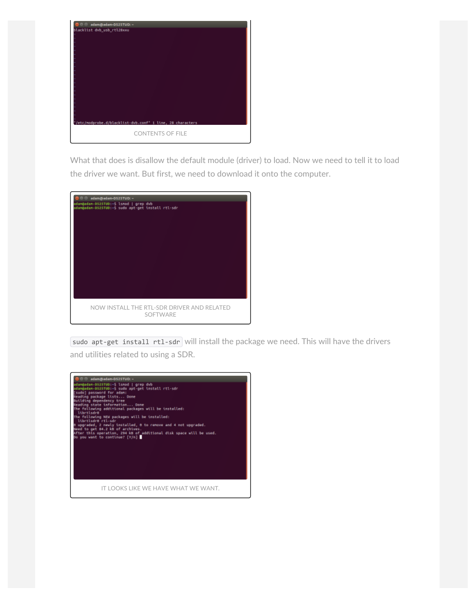

What that does is disallow the default module (driver) to load. Now we need to tell it to load the driver we want. But first, we need to download it onto the computer.

| adam@adam-DS2STUD: ~                                                                     |  |  |  |
|------------------------------------------------------------------------------------------|--|--|--|
| dan@adan-DS2STUD:-S lsnod   grep dvb<br>dam@adam-0525TUD:-5 sudo apt-get install rtl-sdr |  |  |  |
|                                                                                          |  |  |  |
|                                                                                          |  |  |  |
|                                                                                          |  |  |  |
|                                                                                          |  |  |  |
|                                                                                          |  |  |  |
|                                                                                          |  |  |  |
|                                                                                          |  |  |  |
|                                                                                          |  |  |  |
|                                                                                          |  |  |  |
|                                                                                          |  |  |  |
|                                                                                          |  |  |  |
| NOW INSTALL THE RTL-SDR DRIVER AND RELATED<br>SOFTWARE                                   |  |  |  |

[sudo apt-get install rtl-sdr](https://explainshell.com/explain?cmd=sudo+apt-get+install+rtl-sdr) will install the package we need. This will have the drivers and utilities related to using a SDR.

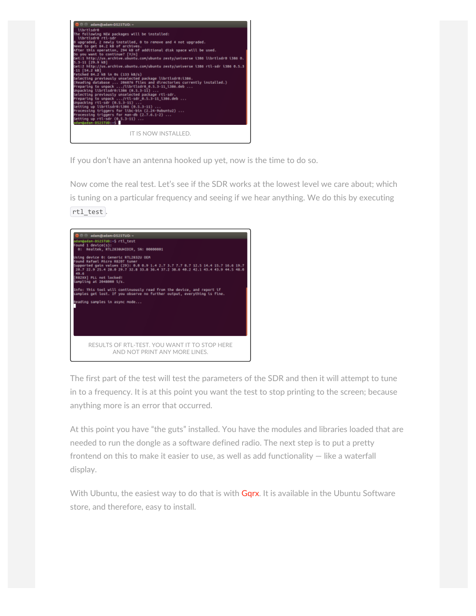

If you don't have an antenna hooked up yet, now is the time to do so.

Now come the real test. Let's see if the SDR works at the lowest level we care about; which is tuning on a particular frequency and seeing if we hear anything. We do this by executing rtl\_test .



The first part of the test will test the parameters of the SDR and then it will attempt to tune in to a frequency. It is at this point you want the test to stop printing to the screen; because anything more is an error that occurred.

At this point you have "the guts" installed. You have the modules and libraries loaded that are needed to run the dongle as a software defined radio. The next step is to put a pretty frontend on this to make it easier to use, as well as add functionality  $-$  like a waterfall display.

With Ubuntu, the easiest way to do that is with [Gqrx.](http://gqrx.dk/) It is available in the Ubuntu Software store, and therefore, easy to install.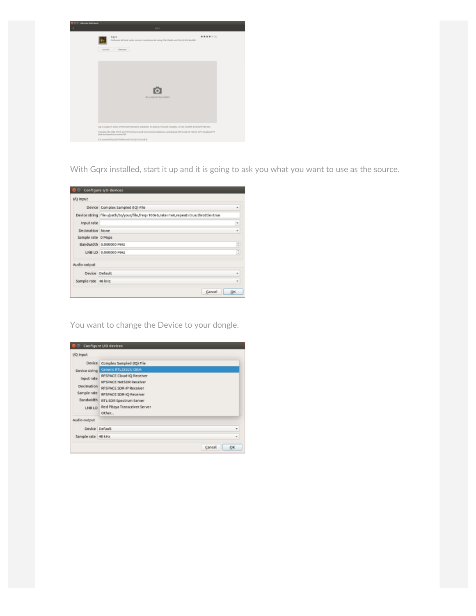| <b>Ulcuniu Gallegare</b> |                                                                                                                                                  |  |  |
|--------------------------|--------------------------------------------------------------------------------------------------------------------------------------------------|--|--|
|                          | troni                                                                                                                                            |  |  |
|                          | *******<br>Gerx<br>Software delived codia receiver implemented using CAU findin and the Q4 CUI toolkik                                           |  |  |
|                          | Levels   Tenant                                                                                                                                  |  |  |
|                          |                                                                                                                                                  |  |  |
|                          |                                                                                                                                                  |  |  |
|                          |                                                                                                                                                  |  |  |
|                          |                                                                                                                                                  |  |  |
|                          |                                                                                                                                                  |  |  |
|                          | Necessaryhot provided                                                                                                                            |  |  |
|                          |                                                                                                                                                  |  |  |
|                          |                                                                                                                                                  |  |  |
|                          |                                                                                                                                                  |  |  |
|                          | Garanoparis mary of the IDN/verbace synthide, including Founder Dongley, ritsch, HarithFord IDIP-devices.                                        |  |  |
|                          | induder. MA, 128, FPAR and FPAVE (mone and stereof demodulation), and Special PM mode har NGAR APT. Displays PPT<br>plet and good now a steelal. |  |  |
|                          | It is powered by DWJ Right and the DI DJI book it.                                                                                               |  |  |

With Gqrx installed, start it up and it is going to ask you what you want to use as the source.

| UQ input           |                                                                                       |      |
|--------------------|---------------------------------------------------------------------------------------|------|
|                    | Device Complex Sampled (IQ) File                                                      | ٠    |
|                    | Device string   file=/path/to/your/file,freq=100e6,rate=1e6,repeat=true,throttle=true |      |
| Input rate         |                                                                                       | $\,$ |
| Decimation None    |                                                                                       | w    |
| Sample rate 0 Msps |                                                                                       |      |
|                    | Bandwidth 0.000000 MHz                                                                | Þ    |
|                    | LNB LO 0.000000 MHz                                                                   |      |
| Audio output       |                                                                                       |      |
|                    | Device Default                                                                        | ×    |
| Sample rate 48 kHz |                                                                                       |      |

You want to change the Device to your dongle.

|                                                                       | Configure I/O devices                                                                                                                                                           |              |
|-----------------------------------------------------------------------|---------------------------------------------------------------------------------------------------------------------------------------------------------------------------------|--------------|
| I/O input                                                             |                                                                                                                                                                                 |              |
| <b>Device</b>                                                         | Complex Sampled (IQ) File                                                                                                                                                       |              |
| Device string                                                         | Generic RTL2832U OEM                                                                                                                                                            |              |
| Input rate<br>Decimation<br>Sample rate<br><b>Bandwidth</b><br>LNB LO | RFSPACE Cloud-IQ Receiver<br>RESPACE NetSDR Receiver<br>RFSPACE SDR-IP Receiver<br>RFSPACE SDR-IQ Receiver<br>RTL-SDR Spectrum Server<br>Red Pitaya Transceiver Server<br>Other |              |
| Audio output                                                          |                                                                                                                                                                                 |              |
|                                                                       | Device Default                                                                                                                                                                  | ٠            |
| Sample rabe 48 kHz                                                    |                                                                                                                                                                                 | $\mathbf{r}$ |
|                                                                       |                                                                                                                                                                                 | OK<br>Cancel |